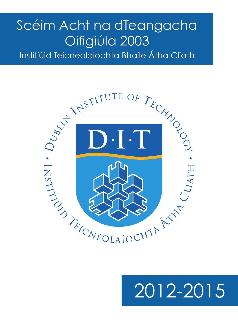## Scéim Acht na dTeangacha Oifigiúla 2003

Institiúid Teicneolaíochta Bhaile Átha Cliath



# 2012-2015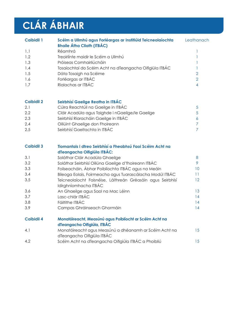## **CLÁR ÁBHAIR**

| <b>Caibidil 1</b> | Scéim a Ullmhú agus Forléargas ar Institiúid Teicneolaíochta<br><b>Bhaile Átha Cliath (ITBÁC)</b> | Leathanach |
|-------------------|---------------------------------------------------------------------------------------------------|------------|
| 1.1               | <b>Réamhrá</b>                                                                                    |            |
| 1.2               | Treoirlínte maidir le Scéim a Ullmhú                                                              |            |
| 1.3               | Próiseas Comhairliúcháin                                                                          |            |
| 1.4               | Tosaíochtaí do Scéim Acht na dTeangacha Oifigiúla ITBÁC                                           |            |
| 1.5               | Dáta Tosaigh na Scéime                                                                            | 2          |
| 1.6               | Forléargas ar ITBÁC                                                                               | 2          |
| 1.7               | Rialachas ar ITBÁC                                                                                |            |

#### **Caibidil 2 Seirbhísí Gaeilge Reatha in ITBÁC**

| 2.1 | Cúlra Reachtúil na Gaeilge in ITBÁC              | -5 |
|-----|--------------------------------------------------|----|
| 2.2 | Cláir Acadúla agus Taighde i nGaeilge/le Gaeilge | -5 |
| 2.3 | Seirbhísí Riaracháin Gaeilge in ITBÁC            |    |
| 2.4 | Oiliúint Ghaeilge don Fhoireann                  |    |
| 2.5 | Seirbhísí Gaeltachta in ITBÁC                    |    |

| <b>Caibidil 3</b> | Tiomantais i dtreo Seirbhísí a Fheabhsú Faoi Scéim Acht na                             |                 |  |
|-------------------|----------------------------------------------------------------------------------------|-----------------|--|
|                   | dTeangacha Oifigiúla ITBÁC:                                                            |                 |  |
| 3.1               | Soláthar Cláir Acadúla Ghaeilge                                                        | 8               |  |
| 3.2               | Soláthar Seirbhísí Oiliúna Gaeilge d'fhoireann ITBÁC                                   | 9               |  |
| 3.3               | Foilseacháin, Ábhar Poiblíochta ITBÁC agus na Meáin                                    | 10 <sup>°</sup> |  |
| 3.4               | Bileoga Eolais, Foirmeacha agus Tuarascálacha Modúl ITBÁC                              | 11              |  |
| 3.5               | Teicneolaíocht Faisnéise, Láithreán Gréasáin agus Seirbhísí                            | 12 <sup>°</sup> |  |
|                   | Idirghníomhacha ITBÁC                                                                  |                 |  |
| 3.6               | An Ghaeilge agus Saol na Mac Léinn                                                     | 13              |  |
| 3.7               | Lasc-chlár ITBÁC                                                                       | 14              |  |
| 3.8               | Fáiltithe ITBÁC                                                                        | 14              |  |
| 3.9               | Campas Ghráinseach Ghormáin                                                            | 14              |  |
| <b>Caibidil 4</b> | Monatóireacht, Measúnú agus Poiblíocht ar Scéim Acht na<br>dTeangacha Oifigiúla, ITBÁC |                 |  |
| 4.1               | Monatóireacht agus Measúnú a dhéanamh ar Scéim Acht na                                 | 15              |  |
|                   | dTeangacha Oifigiúla ITBÁC                                                             |                 |  |
| 4.2               | Scéim Acht na dTeangacha Oifigiúla ITBÁC a Phoibliú                                    | 15              |  |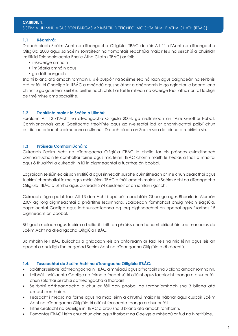#### SCÉIM A ULLMHÚ AGUS FORLÉARGAS AR INSTITIÚID TEICNEOLAÍOCHTA BHAILE ÁTHA CLIATH (ITBÁC):

#### **1.1 Réamhrá:**

Dréachtaíodh Scéim Acht na dTeangacha Oifigiúla ITBÁC de réir Alt 11 d'Acht na dTeangacha Oifigiúla 2003 agus sa Scéim sonraítear na tiomantais reachtúla maidir leis na seirbhísí a chuirfidh Institiúid Teicneolaíochta Bhaile Átha Cliath (ITBÁC) ar fáil:

- i nGaeilge amháin
- i mBéarla amháin agus
- go dátheangach

sna trí bliana atá amach romhainn. Is é cuspóir na Scéime seo ná raon agus caighdeán na seirbhísí atá ar fáil trí Ghaeilge in ITBÁC a mhéadú agus soláthar a dhéanamh le go nglacfar le bearta lena chinntiú go gcuirfear seirbhísí áirithe nach bhfuil ar fáil trí mheán na Gaeilge faoi láthair ar fáil laistigh de thréimhse ama socraithe.

#### **1.2 Treoirlínte maidir le Scéim a Ullmhú:**

Forálann Alt 12 d'Acht na dTeangacha Oifigiúla 2003, go n-ullmhódh an tAire Gnóthaí Pobail, Comhionannais agus Gaeltachta treoirlínte agus go n-eiseofaí iad ar chomhlachtaí poiblí chun cuidiú leo dréacht-scéimeanna a ullmhú. Dréachtaíodh an Scéim seo de réir na dtreoirlínte sin.

#### **1.3 Próiseas Comhairliúcháin:**

Cuireadh Scéim Acht na dTeangacha Oifigiúla ITBÁC le chéile tar éis próiseas cuimsitheach comhairliúcháin le comhaltaí foirne agus mic léinn ITBÁC chomh maith le heolas a fháil ó mholtaí agus ó thuairímí a cuireadh in iúl in aighneachtaí a fuarthas ón bpobal.

Eagraíodh seisiúin eolais san Institiúid agus rinneadh suirbhé cuimsitheach ar líne chun dearcthaí agus tuairimí chomhaltaí foirne agus mhic léinn ITBÁC a fháil amach maidir le Scéim Acht na dTeangacha Oifigiúla ITBÁC a ullmhú agus cuireadh 394 ceistneoir ar an iomlán i gcrích.

Cuireadh fógra poiblí faoi Alt 13 den Acht i bpáipéir nuachtáin Ghaeilge agus Bhéarla in Aibreán 2009 ag lorg aighneachtaí ó pháirtithe leasmhara. Scaipeadh ríomhphost chuig méain éagsúla, eagraíochtaí Gaeilge agus iarbhunscoileanna ag lorg aighneachtaí ón bpobal agus fuarthas 15 aighneacht ón bpobal.

Bhí gach moladh agus tuairim a bailíodh i rith an phróisis chomhchomhairliúcháin seo mar eolas do Scéim Acht na dTeangacha Oifigiúla ITBÁC.

Ba mhaith le ITBÁC buíochas a ghlacadh leis an bhfoireann ar fad, leis na mic léinn agus leis an bpobal a chuidigh linn ár gcéad Scéim Acht na dTeangacha Oifigiúla a dhréachtú.

#### **1.4: Tosaíochtaí do Scéim Acht na dTeangacha Oifigiúla ITBÁC:**

- • Soláthar seirbhísí dátheangacha in ITBÁC a mhéadú agus a fhorbairt sna 3 bliana amach romhainn.
- • Leibhéil inniúlachta Gaeilge na foirne a fheabhsú trí oiliúint agus tacaíocht teanga a chur ar fáil chun soláthar seirbhísí dátheangacha a fhorbairt.
- Seirbhísí dátheangacha a chur ar fáil don phobal go forghníomhach sna 3 bliana atá amach romhainn.
- • Feasacht i measc na foirne agus na mac léinn a chruthú maidir le hábhar agus cuspóir Scéim Acht na dTeangacha Oifigiúla trí oiliúint feasachta teanga a chur ar fáil.
- • Infheiceálacht na Gaeilge in ITBÁC a ardú sna 3 bliana atá amach romhainn.
- Tiomantas ITBÁC i leith chur chun cinn agus fhorbairt na Gaeilge a mhéadú ar fud na hInstitiúide.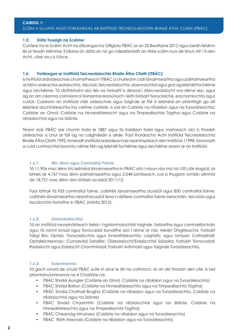#### **CAIBIDIL 1:**  SCÉIM A ULLMHÚ AGUS FORLÉARGAS AR INSTITIÚID TEICNEOLAÍOCHTA BHAILE ÁTHA CLIATH (ITBÁC):

#### **1.5: Dáta Tosaigh na Scéime:**

Cuirfear tús le Scéim Acht na dTeangacha Oifigiúla ITBÁC ar an 22 Bealtaine 2012 agus beidh feidhm léi ar feadh tréimhse 3 bliana ón dáta sin nó go ndearbhóidh an tAire scéim nua de bhun Alt 15 den Acht, cibé acu is túisce.

#### **1.6: Forléargas ar Institiúid Teicneolaíochta Bhaile Átha Cliath (ITBÁC):**

Is institiúid ardoideachais chuimsitheach í ITBÁC a chuireann cláir lánaimseartha agus páirtaimseartha ar fáil in oideachas eolaíochta, teicniúil, teicneolaíochta, daonnachtaí agus gnó ag leibhéil fochéime agus iarchéime. Tá dlúthbhaint aici leis na forbairtí is déanaí i dteicneolaíocht sna réimsí seo, agus ag an am céanna coinníonn sí tiomantas leanúnach i leith forbairt tionsclaíche, eacnamíochta agus cultúir. Cuireann an Institiúid cláir oideachais agus taighde ar fáil ó leibhéal an phrintísigh go dtí leibhéal dochtúireachta ina ceithre coláiste, is iad sin Coláiste na nEalaíon agus na Turasóireachta; Coláiste an Ghnó; Coláiste na hInnealtóireacht agus na Timpeallachta Tógtha agus Coláiste na nEolaíochtaí agus na Sláinte.

Téann stair ITBÁC siar chomh fada le 1887 agus tá traidisiún fada agus mórtasach aici ó thaobh oideachas a chur ar fáil ag na caighdeáin is airde. Faoi fhorálacha Acht Institiúid Teicneolaíochta Bhaile Átha Cliath 1992, rinneadh Institiúid ardoideachais neamhspleách den Institiúid. I 1998, bronnadh a cuid cumhachtaí bronnta céime féin ag leibhéil fochéime agus iarchéime araon ar an Institiúid.

#### **1.6.1: Mic léinn agus Comhaltaí Foirne:**

Tá 11,906 mac léinn tríú leibhéal lánaimseartha in ITBÁC atá i mbun níos mó ná 100 clár éagsúil, sa bhreis air 4,767 mac léinn páirtaimseartha agus 2,048 printíseach, rud a thugann iomlán ollmhór de 18,721 mac léinn don bhliain acadúil 2011/12.

Faoi láthair tá 955 comhaltaí foirne, coibhéis lánaimseartha acadúil agus 850 comhaltaí foirne, coibhéis lánaimseartha neamhacadúil lena n-áirítear comhaltaí foirne riaracháin, teicniúla agus tacaíochta fostaithe in ITBÁC (Márta 2012).

#### **1.6.2: Gníomhaíochtaí**

Tá an Institiúid rannpháirteach freisin i ngníomhaíochtaí taighde, forbartha agus comhairliúcháin agus tá roinnt ionad agus tionscadal bunaithe aici i réimsí ar nós: Meáin Dhigiteacha; Forbairt Táirgí Bia; Optaic Tionsclaíochta agus Innealtóireachta; Loighistic agus Iompar; Cothabháil; Optaileictreonaic; Cumarsáid Satailíte; Oideolaíocht/Eolaíochtaí Sóisialta; Forbairt Tionscadail; Radaíocht agus Eolaíocht Chomhshaoil; Forbairt Adhmaid agus Taighde Turasóireachta.

#### **1.6.3: Suíomhanna:**

Tá gach ionad de chuid ITBÁC suite in aice le lár na cathrach, ar an dá thaobh den Life. Is iad príomhshuíomhanna na 4 Choláiste ná:

- ITBÁC Shráid Aungier (Coláiste an Ghnó, Coláiste na nEalaíon agus na Turasóireachta)
- ITBÁC Shráid Bolton (Coláiste na hInnealtóireachta agus na Timpeallachta Tógtha)
- ITBÁC Shráid Chathail Brugha (Coláiste na nEalaíon agus na Turasóireachta, Coláiste na nEolaíochtaí agus na Sláinte)
- ITBÁC Shráid Chaoimhín (Coláiste na nEolaíochtaí agus na Sláinte, Coláiste na hInnealtóireachta agus na Timpeallachta Tógtha)
- ITBÁC Chearnóg Mhuinseo (Coláiste na nEalaíon agus na Turasóireachta)
- ITBÁC Ráth Maonais (Coláiste na nEalaíon agus na Turasóireachta)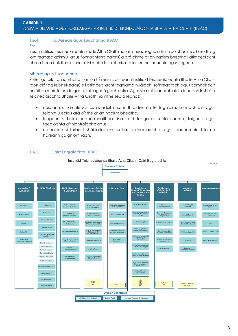#### **CAIBIDIL 1:**  SCÉIM A ULLMHÚ AGUS FORLÉARGAS AR INSTITIÚID TEICNEOLAÍOCHTA BHAILE ÁTHA CLIATH (ITBÁC):

#### **1.6.4: Fís, Misean agus Luachanna ITBÁC**

#### Fís:

Beidh Institiúid Teicneolaíochta Bhaile Átha Cliath mar an chéad rogha in Éirinn do dhaoine a bheidh ag lorg teagasc gairmiúil agus fionnachtana gairmiúla atá dírithe ar an ngairm bheatha i dtimpeallacht bhríomhar a bhfuil sár-aithne uirthi maidir le feidhmiú nuála, cruthaitheachta agus taighde.

#### Misean agus Luachanna:

Suite i gcroílar phríomhchathair na hÉireann, cuireann Institiúid Teicneolaíochta Bhaile Átha Cliath raon clár ag leibhéil éagsúla i dtimpeallacht foghlama nuálach, sofhreagrach agus comhbhách ar fáil do mhic léinn de gach aois agus ó gach cúlra. Agus sin á dhéanamh aici, déanann Institiúid Teicneolaíochta Bhaile Átha Cliath na nithe seo a leanas:

- nascann sí sárchleachtas acadúil ollscoil thraidisiúnta le foghlaim, fionnachtain agus feidhmiú eolais atá dírithe ar an ngairm bheatha;
- • leagann sí béim ar shármhaitheas ina cuid teagaisc, scoláireachta, taighde agus tacaíochta d'fhiontraíocht; agus
- • cothaíonn sí forbairt shóisialta, chultúrtha, teicneolaíochta agus eacnamaíochta na hÉireann go gníomhach.

#### **1.6.5: Cairt Eagraíochta ITBÁC:**

Institiúid Teicneolaíochta Bhaile Átha Cliath - Cairt Eagraíochta

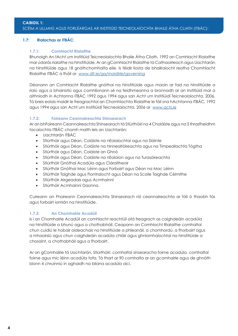#### **1.7: Rialachas ar ITBÁC:**

#### **1.7.1: Comhlacht Rialaithe**

Bhunaigh An tAcht um Institiúid Teicneolaíochta Bhaile Átha Cliath, 1992 an Comhlacht Rialaithe mar údarás rialaithe na hInstitiúide. Ar an gComhlacht Rialaithe tá Cathaoirleach agus Uachtarán na hInstitiúide agus 18 gnáthchomhalta eile. Is féidir liosta de bhallraíocht reatha Chomhlacht Rialaithe ITBÁC a fháil ar www.dit.ie/ga/maidirle/governing

Déanann an Comhlacht Rialaithe gnóthaí na hInstitiúide agus maoin ar fad na hInstitiúide a rialú agus a bhainistiú agus comhlíonann sé na feidhmeanna a bronnadh ar an Institiúid mar a aithníodh in Achtanna ITBÁC 1992 agus 1994 agus san Acht um Institiúidí Teicneolaíochta, 2006. Tá breis eolais maidir le freagrachtaí an Chomhlachta Rialaithe le fáil sna hAchtanna ITBÁC, 1992 agus 1994 agus san Acht um Institiúidí Teicneolaíochta, 2006 ar www.acts.ie

#### **1.7.2: Foireann Ceannaireachta Shinsearach**

Ar an bhFoireann Ceannaireachta Shinsearach tá Stiúrthóirí na 4 Choláiste agus na 5 thrasfheidhm tacaíochta ITBÁC chomh maith leis an Uachtarán:

- Uachtarán ITBÁC
- Stiúrthóir agus Déan, Coláiste na nEolaíochtaí agus na Sláinte
- • Stiúrthóir agus Déan, Coláiste na hInnealtóireachta agus na Timpeallachta Tógtha
- Stiúrthóir agus Déan, Coláiste an Ghnó
- • Stiúrthóir agus Déan, Coláiste na nEalaíon agus na Turasóireachta
- • Stiúrthóir Gnóthaí Acadúla agus Cláraitheoir
- Stiúrthóir Gnóthaí Mac Léinn agus Forbairt agus Déan na Mac Léinn
- • Stiúrthóir Taighde agus Fiontraíocht agus Déan na Scoile Taighde Céimithe
- • Stiúrthóir Airgeadais agus Acmhainní
- Stiúrthóir Acmhainní Daonna.

Cuireann an Fhoireann Ceannaireachta Shinsearach ról ceannaireachta ar fáil ó thaobh fás agus forbairt iomlán na hInstitiúide.

#### **1.7.3: An Chomhairle Acadúil**

Is í an Chomhairle Acadúil an comhlacht reachtúil atá freagrach as caighdeáin acadúla na hInstitiúide a bhunú agus a chothabháil. Ceapann an Comhlacht Rialaithe comhaltaí chun cuidiú le hobair oideachais na hInstitiúide a phleanáil, a chomhordú, a fhorbairt agus a mhaoirsiú agus chun caighdeáin acadúla chláir agus ghníomhaíochtaí na hInstitiúide a chosaint, a chothabháil agus a fhorbairt.

Ar an gComhairle tá Uachtarán, Stiúrthóirí, comhaltaí sinsearacha foirne acadúla, comhaltaí foirne agus mic léinn acadúla tofa. Tá thart ar 90 comhalta ar an gcomhairle agus de ghnáth bíonn 4 chruinniú in aghaidh na bliana acadúla aici.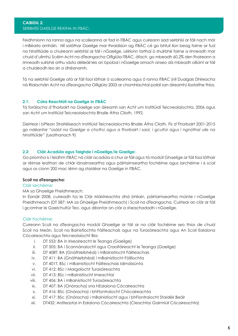Feidhmíonn na ranna agus na scoileanna ar fad in ITBÁC agus cuireann siad seirbhísí ar fáil nach mór i mBéarla amháin. Níl soláthar Gaeilge mar thraidisiún ag ITBÁC cé go bhfuil líon beag foirne ar fud na hInstitiúide a chuireann seirbhísí ar fáil i nGaeilge. Léiríonn torthaí ó shuirbhé foirne a rinneadh mar chuid d'ullmhú Scéim Acht na dTeangacha Oifigiúla ITBÁC, áfach, go mbeadh 60.2% den fhoireann a rinneadh suirbhé orthu sásta déileáil leis an bpobal i nGaeilge amach anseo dá mbeadh oiliúint ar fáil a chuideodh leo sin a dhéanamh.

Tá na seirbhísí Gaeilge atá ar fáil faoi láthair ó scoileanna agus ó ranna ITBÁC (níl Dualgais Dhíreacha ná Rialacháin Acht na dTeangacha Oifigiúla 2003 ar chomhlachtaí poiblí san áireamh) liostaithe thíos.

#### **2.1: Cúlra Reachtúil na Gaeilge in ITBÁC**

Tá forálacha d'fhorbairt na Gaeilge san áireamh san Acht um Institiúidí Teicneolaíochta, 2006 agus san Acht um Institiúid Teicneolaíochta Bhaile Átha Cliath, 1992.

Deirtear i bPlean Straitéiseach Institiúid Teicneolaíochta Bhaile Átha Cliath, Fís d'Fhorbairt 2001-2015 go ndéanfar *"úsáid na Gaeilge a chothú agus a fhorbairt i saol, i gcultúr agus i ngnóthaí uile na hInstitiúide"* (Leathanach 9)

#### **2.2: Cláir Acadúla agus Taighde i nGaeilge/le Gaeilge:**

Go príomha is í feidhm ITBÁC ná cláir acadúla a chur ar fáil agus tá modúil Ghaeilge ar fáil faoi láthair ar réimse leathan de chlár lánaimseartha agus páirtaimseartha fochéime agus iarchéime i 6 scoil agus os cionn 200 mac léinn ag staidéar na Gaeilge in ITBÁC.

#### **Scoil na dTeangacha:**

#### Cláir Iarchéime:

#### MA sa Ghaeilge Fheidhmeach:

In Eanáir 2008, cuireadh tús le Clár Máistreachta dhá bhliain, páirtaimseartha múinte i nGaeilge Fheidhmeach (DT 587: MA sa Ghaeilge Fheidhmeach) i Scoil na dTeangacha. Cuirtear an clár ar fáil i gcomhar le Gaelchultúr Teo. agus déantar an clár a sheachadadh i nGaeilge.

#### Cláir Fochéime:

Cuireann Scoil na dTeangacha modúil Ghaeilge ar fáil ar na cláir fochéime seo thíos de chuid Scoil na Meán, Scoil na Bainistíochta Fáilteachais agus na Turasóireachta agus An Scoil Ealaíona Cócaireachta agus Teicneolaíocht Bia:

- i. DT 553: BA in Iriseoireacht le Teanga (Gaeilge)
- ii. DT 505: BA i Scannánaíocht agus Craoltóireacht le Teanga (Gaeilge)
- iii. DT 408T: BA (Gnáthleibhéal) i mBainistíocht Fáilteachais
- iv. DT 411: BA (Gnáthleibhéal) i mBainistíocht Fóillíochta
- v. DT 401T: BSc i mBainistíocht Fáilteachais Idirnáisiúnta
- vi. DT 412: BSc i Margaíocht Turasóireachta
- vii. DT 413: BSc i mBainistíocht Imeachtaí
- viii. DT 406: BA i mBainistíocht Turasóireachta
- ix. DT 407: BA (Onóracha) sna hEalaíona Cócaireachta
- x. DT 416: BSc (Onóracha) i bhFiontraíocht Chócaireachta
- xi. DT 417: BSc (Onóracha) i mBainistíocht agus i bhFiontraíocht Staidéir Beáir
- xii. DT432: Ardteastas in Ealaíona Cócaireachta (Cleachtas Gairmiúil Cócaireachta)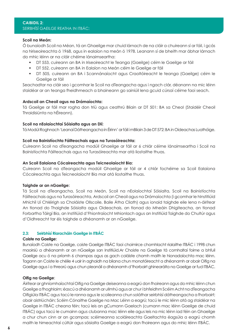#### **CAIBIDIL 2:**  SEIRBHÍSÍ GAEILGE REATHA IN ITBÁC:

#### **Scoil na Meán:**

Ó bunaíodh Scoil na Méan, tá an Ghaeilge mar chuid lárnach de na cláir a chuireann sí ar fáil, i gcás na hiriseoireachta ó 1968, agus in ealaíon na meán ó 1978. Leanann sí de bheith mar ábhar lárnach do mhic léinn ar na cláir chéime lánaimseartha:

- DT 553, cuireann an BA in Iriseoireacht le Teanga (Gaeilge) céim le Gaeilge ar fáil
- DT 552, cuireann an BA in Ealaíon na Meán céim le Gaeilge ar fáil
- DT 505, cuireann an BA i Scannánaíocht agus Craoltóireacht le teanga (Gaeilge) céim le Gaeilge ar fáil

Seachadtar na cláir seo i gcomhar le Scoil na dTeangacha agus i ngach clár, déanann na mic léinn staidéar ar an teanga fheidhmeach a bhaineann go sainiúil lena gcuid cúrsaí céime faoi seach.

#### **Ardscoil an Cheoil agus na Drámaíochta:**

Tá Gaeilge ar fáil mar rogha don tríú agus ceathrú Bliain ar DT 501: BA sa Cheol (Staidéir Cheoil Thraidisiúnta na hÉireann).

#### **Scoil na nEolaíochtaí Sóisialta agus an Dlí:**

Tá Modúl Roghnach 'Leanaí Dátheangacha in Éirinn' ar fáil i mBliain 3 de DT 572: BA in Oideachas Luathóige.

#### **Scoil na Bainistíochta Fáilteachais agus na Turasóireachta:**

Cuireann Scoil na dTeangacha modúil Ghaeilge ar fáil ar 6 chlár céime lánaimseartha i Scoil na Bainistíochta Fáilteachais agus na Turasóireachta mar atá liostaithe thuas.

#### **An Scoil Ealaíona Cócaireachta agus Teicneolaíocht Bia:**

Cuireann Scoil na dTeangacha modúil Ghaeilge ar fáil ar 4 chlár fochéime sa Scoil Ealaíona Cócaireachta agus Teicneolaíocht Bia mar atá liostaithe thuas.

#### **Taighde ar an nGaeilge:**

Tá Scoil na dTeangacha, Scoil na Meán, Scoil na nEolaíochtaí Sóisialta, Scoil na Bainistíochta Fáilteachais agus na Turasóireachta, Ardscoil an Cheoil agus na Drámaíochta (i gcomhar le hInstitiúid Mhichíl Uí Chléirigh sa Choláiste Ollscoile, Baile Átha Cliath) agus ionaid taighde eile lena n-áirítear An tIonad do Thaighde Sóisialta agus Oideachais, an tIonad do Mheáin Dhigiteacha, an tIonad Forbartha Táirgí Bia, an Institiúid d'Fhiontraíocht Mhionlach agus an Institiúid Taighde do Chultúr agus d'Oidhreacht tar éis taighde a dhéanamh ar an nGaeilge.

#### **2.3: Seirbhísí Riaracháin Gaeilge in ITBÁC**

#### **Coiste na Gaeilge:**

Bunaíodh Coiste na Gaeilge, coiste Gaeilge ITBÁC faoi choimirce chomhlacht rialaithe ITBÁC i 1998 chun maoirsiú a dhéanamh ar an nGaeilge san Institiúid.Ar Choiste na Gaeilge tá comhaltaí foirne a bhfuil Gaeilge acu ó na príomh 6 champas agus as gach coláiste chomh maith le hionadaíochta mac léinn. Tagann an Coiste le chéile 4 uair in aghaidh na bliana chun monatóireacht a dhéanamh ar obair Oifig na Gaeilge agus í a threorú agus chun pleanáil a dhéanamh d'fhorbairt ghinearálta na Gaeilge ar fud ITBÁC.

#### **Oifig na Gaeilge**:

Áirítear ar ghníomhaíochtaí Oifig na Gaeilge deiseanna a eagrú don fhoireann agus do mhic léinn chun Gaeilge a fhoghlaim; éascú a dhéanamh ar ullmhú agus ar chur i bhfeidhm Scéim Acht na dTeangacha Oifigiúla ITBÁC agus tacú le ranna agus le scoileanna chun soláthar seirbhísí dátheangacha a fhorbairt; obair aistriúcháin; Scéim Cónaithe Gaeilge na Mac Léinn a eagrú; tacú le mic léinn atá ag staidéar na Gaeilge in ITBÁC cheana féin; tacú leis an gCumann Gaelach (cumann mac léinn Gaeilge de chuid ITBÁC) agus tacú le cumainn agus clubanna mac léinn eile agus leis na mic léinn iad féin an Ghaeilge a chur chun cinn ar an gcampas; scéimeanna scoláireachta Gaeltachta éagsúla a eagrú chomh maith le himeachtaí cúltúir agus sóisialta Gaeilge a eagrú don fhoireann agus do mhic léinn ITBÁC.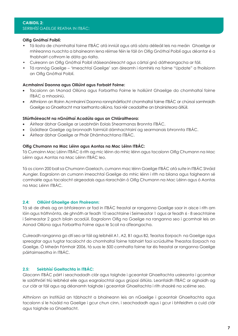#### **Oifig Gnóthaí Poiblí:**

- Tá liosta de chomhaltaí foirne ITBÁC atá inniúil agus atá sásta déileáil leis na meáin Ghaeilge ar mhíreanna nuachta a bhaineann lena réimse féin le fáil ón Oifig Gnóthaí Poiblí agus déantar é a thabhairt cothrom le dáta go rialta.
- Cuireann an Oifig Gnóthaí Poiblí stáiseanóireacht agus cártaí gnó dátheangacha ar fáil.
- Tá rannóg Gaeilge 'Imeachtaí Gaeilge' san áireamh i ríomhiris na foirne "Update" a fhoilsíonn an Oifig Gnóthaí Poiblí.

#### **Acmhainní Daonna agus Oiliúint agus Forbairt Foirne:**

- Tacaíonn an tAonad Oiliúna agus Forbartha Foirne le hoiliúint Ghaeilge do chomhaltaí foirne ITBÁC a mhaoiniú.
- • Aithníonn an Roinn Acmhainní Daonna rannpháirtíocht chomhaltaí foirne ITBÁC ar chúrsaí samhraidh Gaeilge sa Ghaeltacht mar laethanta oiliúna, faoi réir ceadaithe an bhainisteora áitiúil.

#### **Stiúrthóireacht na nGnóthaí Acadúla agus an Chláraitheora:**

- • Áirítear ábhar Gaeilge ar Leabhráin Eolais Shearmanas Bronnta ITBÁC.
- • Úsáidtear Gaeilge ag bronnadh foirmiúil dámhachtainí ag searmanais bhronnta ITBÁC.
- Áirítear ábhar Gaeilge ar Pháir Dhámhachtana ITBÁC.

#### **Oifig Chumann na Mac Léinn agus Aontas na Mac Léinn ITBÁC:**

Tá Cumainn Mac Léinn ITBÁC á rith ag mic léinn do mhic léinn agus tacaíonn Oifig Chumann na Mac Léinn agus Aontas na Mac Léinn ITBÁC leo.

Tá os cionn 200 ball sa Chumann Gaelach, cumann mac léinn Gaeilge ITBÁC atá suite in ITBÁC Shráid Aungier. Eagraíonn an cumann imeachtaí Gaeilge do mhic léinn i rith na bliana agus faigheann sé comhairle agus tacaíocht airgeadais agus riaracháin ó Oifig Chumann na Mac Léinn agus ó Aontas na Mac Léinn ITBÁC.

#### **2.4: Oiliúint Ghaeilge don Fhoireann:**

Tá sé de dheis ag an bhfoireann ar fad in ITBÁC freastal ar ranganna Gaeilge saor in aisce i rith am lóin agus tráthnónta, de ghnáth ar feadh 10 seachtaine i Seimeastar 1 agus ar feadh 6 - 8 seachtaine i Seimeastar 2 gach bliain acadúil. Eagraíonn Oifig na Gaeilge na ranganna seo i gcomhair leis an Aonad Oiliúna agus Forbartha Foirne agus le Scoil na dTeangacha.

Cuireadh ranganna go dtí seo ar fáil ag leibhéil A1, A2, B1 agus B2, Teastas Eorpach na Gaeilge agus spreagtar agus tugtar tacaíocht do chomhaltaí foirne tabhairt faoi scrúduithe Theastas Eorpach na Gaeilge. Ó Mheán Fómhair 2006, tá suas le 500 comhalta foirne tar éis freastal ar ranganna Gaeilge páirtaimseatha in ITBÁC.

#### **2.5: Seirbhísí Gaeltachta in ITBÁC:**

Glacann ITBÁC páirt i seachadadh clár agus taighde i gceantair Ghaeltachta uaireanta i gcomhar le soláthróirí tríú leibhéal eile agus eagraíochtaí agus grúpaí áitiúla. Leanfaidh ITBÁC ar aghaidh ag cur clár ar fáil agus ag déanamh taighde i gceantair Ghaeltachta i rith shaolré na scéime seo.

Aithníonn an Institiúid an tábhacht a bhaineann leis an nGaeilge i gceantair Ghaeltachta agus tacaíonn sí le húsáid na Gaeilge i gcur chun cinn, i seachadadh agus i gcur i bhfeidhm a cuid clár agus taighde sa Ghaeltacht.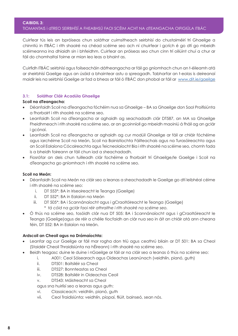#### **CAIBIDIL 3:**  TIOMANTAIS i dTREO SEIRBHÍSÍ A FHEABHSÚ FAOI SCÉIM ACHT NA dTEANGACHA OIFIGIÚLA ITBÁC

Cuirfear tús leis an bpróiseas chun soláthar cuimsitheach seirbhísí do chustaiméirí trí Ghaeilge a chinntiú in ITBÁC i rith shaolré na chéad scéime seo ach ní chuirfear i gcrích é go dtí go mbeidh scéimeanna ina dhiaidh sin i bhfeidhm. Cuirfear an próiseas seo chun cinn trí oiliúint chuí a chur ar fáil do chomhaltaí foirne ar mian leo leas a bhaint as.

Cuirfidh ITBÁC seirbhísí agus foilseacháin dátheangacha ar fáil go gníomhach chun an t-éileamh atá ar sheirbhísí Gaeilge agus an úsáid a bhaintear astu a spreagadh. Tabharfar an t-eolas is deireanaí maidir leis na seirbhísí Gaeilge ar fad a bheas ar fáil ó ITBÁC don phobal ar fáil ar www.dit.ie/gaeilge

#### **3.1: Soláthar Cláir Acadúla Ghaeilge**

#### **Scoil na dTeangacha:**

- • Déanfaidh Scoil na dTeangacha fóchéim nua sa Ghaeilge BA sa Ghaeilge don Saol Proifisiúnta a fhorbairt i rith shaolré na scéime seo.
- Leanfaidh Scoil na dTeangacha ar aghaidh ag seachadadh clár DT587, an MA sa Ghaeilge Fheidhmeach i rith shaolré na scéime seo, ar an gcoinníoll go mbeidh maoiniú á fháil ag an gclár i gcónaí.
- • Leanfaidh Scoil na dTeangacha ar aghaidh ag cur modúil Ghaeilge ar fáil ar chláir fóchéime agus iarchéime Scoil na Meán, Scoil na Bainistíochta Fáilteachais agus na Turasóireachta agus an Scoil Ealaíona Cócaireachta agus Teicneolaíocht Bia i rith shaolré na scéime seo, chomh fada is a bheidh foireann ar fáil chun iad a sheachadadh.
- • Fiosrófar an deis chun tuilleadh clár fochéime a fhorbairt trí Ghaeilge/le Gaeilge i Scoil na dTeangacha go gníomhach i rith shaolré na scéime seo.

#### **Scoil na Meán:**

- Déanfaidh Scoil na Meán na cláir seo a leanas a sheachadadh le Gaeilge go dtí leibhéal céime i rith shaolré na scéime seo:
	- i. DT 553\*: BA in Iriseoireacht le Teanga (Gaeilge)
	- ii. DT 552\*: BA in Ealaíon na Meán
	- iii. DT 505\*: BA i Scannánaíocht agus i gCraoltóireacht le Teanga (Gaeilge) *\* tá cóid na gclár faoi réir athraithe i rith shaolré na scéime seo.*
- • Ó thús na scéime seo, tosóidh clár nua DT 505: BA i Scannánaíocht agus i gCraoltóireacht le Teanga (Gaeilge)agus de réir a chéile tiocfaidh an clár nua seo in áit an chláir atá ann cheana féin, DT 552: BA in Ealaíon na Meán.

#### **Ardscoil an Cheoil agus na Drámaíochta:**

- Leanfar ag cur Gaeilge ar fáil mar rogha don tríú agus ceathrú bliain ar DT 501: BA sa Cheol (Staidéir Cheoil Thraidisiúnta na hÉireann) i rith shaolré na scéime seo.
- Beidh teagasc duine le duine i nGaeilge ar fáil ar na cláir seo a leanas ó thús na scéime seo:
	- i. A001: Ceol Sóisearach agus Oideachas Leanúnach (veidhlín, pianó, guth)
	- ii. DT501: Baitsiléir sa Cheol
	- iii. DT527: Bonnteastas sa Cheol
	- iv. DT528: Baitsiléir in Oideachas Ceoil
	- v. DT543: Máistreacht sa Cheol
	- agus sna huirlísí seo a leanas agus guth:
	- vi. Clasaiceach: veidhlín, pianó, guth
	- vii. Ceol Traidisiúnta: veidhlín, píopaí, fliúit, bainseó, sean nós.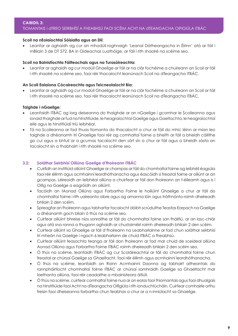#### **CAIBIDIL 3:**  TIOMANTAIS i dTREO SEIRBHÍSÍ A FHEABHSÚ FAOI SCÉIM ACHT NA dTEANGACHA OIFIGIÚLA ITBÁC

#### **Scoil na nEolaíochtaí Sóisialta agus an Dlí:**

Leanfar ar aghaidh ag cur an mhodúil roghnaigh 'Leanaí Dátheangacha in Éirinn' atá ar fáil i mBliain 3 de DT 572, BA in Oideachas Luathóige, ar fáil i rith shaolré na scéime seo.

#### **Scoil na Bainistíochta Fáilteachais agus na Turasóireachta:**

Leanfar ar aghaidh ag cur modúil Ghaeilge ar fáil ar na clár fochéime a chuireann an Scoil ar fáil i rith shaolré na scéime seo, faoi réir thacaíocht leanúnach Scoil na dTeangacha ITBÁC.

#### **An Scoil Ealaíona Cócaireachta agus Teicneolaíocht Bia:**

Leanfar ar aghaidh ag cur modúil Ghaeilge ar fáil ar na clár fochéime a chuireann an Scoil ar fáil i rith shaolré na scéime seo, faoi réir thacaíocht leanúnach Scoil na dTeangacha ITBÁC.

#### **Taighde i nGaeilge:**

- Leanfaidh ITBÁC ag lorg deiseanna do thaighde ar an nGaeilge i gcomhar le Scoileanna agus ionaid thaighde ar fud na hInstitiúide, le heagraíochtaí Gaeilge agus Gaeltachta, le heagraíochtaí eile agus le hInstitiúidí tríú leibhéal.
- • Tá na Scoileanna ar fad thuas tiomanta do thacaíocht a chur ar fáil do mhic léinn ar mian leo taighde a dhéanamh trí Ghaeilge faoi réir ag comhaltaí foirne a bheith ar fáil a bheidh cáilithe go cuí agus a bhfuil ar a gcumas tacaíocht den sórt sin a chur ar fáil agus a bheidh sásta an tacaíocht sin a thabhairt i rith shaolré na scéime seo.

#### **3.2: Soláthar Seirbhísí Oiliúna Gaeilge d'fhoireann ITBÁC**

- • Cuirfidh an Institiúid oiliúint Ghaeilge ar champas ar fáil do chomhaltaí foirne ag leibhéil éagsúla faoi réir éilimh agus acmhainní leordhóthanacha agus éascóidh sí freastal foirne ar oiliúnt ar an gcampas. Léireoidh an leibhéal oiliúna a chuirfear ar fáil don fhoireann an t-éileamh agus is í Oifig na Gaeilge a eagróidh an oiliúint.
- • Tacóidh an tAonad Oiliúna agus Forbartha Foirne le hoiliúint Ghaeilge a chur ar fáil do chomhaltaí foirne i rith uaireanta oibre agus ag amanna lóin agus tráthnónta roimh dheireadh bhliain 2 den scéim.
- • Spreagfar an fhoireann agus tabharfar tacaíocht dóibh scrúduithe Teastas Eorpach na Gaeilge a dhéanamh gach bliain ó thús na scéime seo.
- • Cuirfear oiliúint bhreise níos sonraithe ar fáil do chomhaltaí foirne san fháiltiú, ar an lasc-chlár agus atá sna ranna a thugann aghaidh ar chustaiméirí roimh dheireadh bhliain 2 den scéim.
- • Cuirfear oiliúint sa Ghaeilge ar fáil d'fhoireann na Leabharlainne ar fad chun soláthar seirbhísí trí mheán na Gaeilge i ngach 6 leabharlann de chuid ITBÁC a fheabhsú.
- Cuirfear oiliúint feasachta teanga ar fáil don fhoireann ar fad mar chuid de sceideal oiliúna Aonad Oiliúna agus Forbartha Foirne ITBÁC roimh dheireadh bhliain 2 den scéim seo.
- • Ó thús na scéime, leanfaidh ITBÁC ag cur Scoláireachtaí ar fáil do chomhaltaí foirne chun freastal ar chúrsaí Gaeilge sa Ghaeltacht, faoi réir éilimh agus acmhainní leordhóthanacha.
- • Ó thús na scéime, leanfaidh an Roinn Acmhainní Daonna ag tabhairt aitheantais do rannpháirtíocht chomhaltaí foirne ITBÁC ar chúrsaí samhraidh Gaeilge sa Ghaeltacht mar laethanta oiliúna, faoi réir ceadaithe a mbainisteora áitiúil.
- • Ó thús na scéime, cuirfear comhaltaí foirne nua ar an eolas faoi thiomantais agus faoi dhualgais na hInstitiúide faoi Acht na dTeangacha Oifigiúla i rith ionduchtúcháin. Cuirfear comhairle orthu freisin faoi dheiseanna forbartha chun feabhas a chur ar a n-inniúlacht sa Ghaeilge.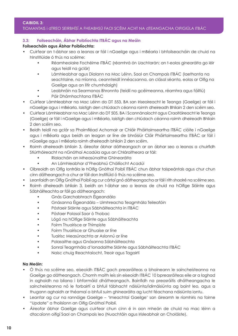#### TIOMANTAIS i dTREO SEIRBHÍSÍ A FHEABHSÚ FAOI SCÉIM ACHT NA dTEANGACHA OIFIGIÚLA ITBÁC

#### **3.3: Foilseacháin, Ábhar Poiblíochta ITBÁC agus na Meáin**

#### **Foilseacháin agus Ábhar Poiblíochta:**

- Cuirfear an t-ábhar seo a leanas ar fáil i nGaeilge agus i mBéarla i bhfoilseacháin de chuid na hInstitiúide ó thús na scéime:
	- Réamheolaire Fochéime ITBÁC (réamhrá ón Uachtarán; an t-eolas ginearálta go léir agus teidil na gclár)
	- Lámhleabhar agus Dialann na Mac Léinn, Saol an Champais ITBÁC (laethanta na seachtaine, na míonna, ceannteidil innéacsanna, an clásal séanta, eolas ar Oifig na Gaeilge agus an litir chumhdaigh)
	- Leabhráin na Searmanas Bhronnta (teidil na gcéimeanna, réamhra agus fáiltiú)
	- Páir Dhámhachtana ITBÁC
- Cuirfear Lámhleabhar na Mac Léinn do DT 553, BA san Iriseoireacht le Teanga (Gaeilge) ar fáil i nGaeilge agus i mBéarla, laistigh den chlúdach céanna roimh dheireadh Bhliain 2 den scéim seo.
- Cuirfear Lámhleabhar na Mac Léinn do DT 505, BA i Scannánaíocht agus Craoltóireacht le Teanga (Gaeilge) ar fáil i nGaeilge agus i mBéarla, laistigh den chlúdach céanna roimh dheireadh Bhliain 2 den scéim seo.
- Beidh teidil na gclár sa Phaimfléad Achomair ar Chláir Pháirtaimseartha ITBÁC clóite i nGaeilge agus i mBéarla agus beidh an leagan ar líne de bhróisiúr Cláir Pháirtaimseartha ITBÁC ar fáil i nGaeilge agus i mBéarla roimh dheireadh bhliain 2 den scéim.
- Roimh dheireadh bhliain 3, áireofar ábhar dátheangach ar an ábhar seo a leanas a chuirfidh Stiúrthóireacht na nGnóthaí Acadúla agus an Chláraitheora ar fáil:
	- Rialacháin an Mheasúnaithe Ghinearálta
	- An Lámhleabhar d'Fheabhsú Cháilíocht Acadúi
- Oibreoidh an Oifig Iontrála le hOifig Gnóthaí Poiblí ITBÁC chun ábhar taispeántais agus chur chun cinn dátheangach a chur ar fáil don Institiúid ó thús na scéime seo.
- Leanfaidh an Oifig Gnóthaí Poiblí ag cur cártaí gnó dátheangacha ar fáil i rith shaolré na scéime seo.
- Roimh dheireadh bhliain 3, beidh an t-ábhar seo a leanas de chuid na hOifige Sláinte agus Sábháilteachta ar fáil go dátheangach:
	- Gnás Garchabhrach Éigeandála
	- Gnásanna Éigeandála Uimhreacha Teagmhála Teileafóin
	- Póstaeir Sláinte agus Sábháilteachta in ITBÁC
	- Póstaer Polasaí Saor ó Thobac
	- Lógó na hOifige Sláinte agus Sábháilteachta
	- Foirm Thuairisce ar Thimpiste
	- Foirm Thuairisce ar Ghuaise ar líne
	- Tuairisc Measúnachta ar Aslonnú ar líne
	- Polasaithe agus Gnásanna Sábháilteachta
	- Sonraí Teagmhála d'Ionadaithe Sláinte agus Sábháilteachta ITBÁC
	- Naisc chuig Reachtaíocht, Treoir agus Tagairtí

#### **Na Meáin:**

- Ó thús na scéime seo, eiseoidh ITBÁC gach preasráiteas a bhaineann le saincheisteanna na Gaeilge go dátheangach. Chomh maith leis sin eiseoidh ITBÁC 10 bpreasráiteas eile ar a laghad in aghaidh na bliana i bhformáid dhátheangach. Bainfidh na preasráitis dhátheangacha le saincheisteanna nó le forbairtí a bhfuil tábhacht náisiúnta/idirnáisiúnta ag baint leo, agus a thugann aghaidh ar théamaí a bhfuil suim ghinearálta ag lucht féachana náisiúnta iontu.
- Leanfar ag cur na rannóige Gaeilge 'Imeachtaí Gaeilge' san áireamh le ríomhiris na foirne "Update" a fhoilsíonn an Oifig Gnóthaí Poiblí.
- Áireofar ábhar Gaeilge agus cuirfear chun cinn é in aon mheán de chuid na mac léinn a dtacaíonn oifigí Saol an Champais leo (Nuachtáin agus Irisleabhair an Choláiste).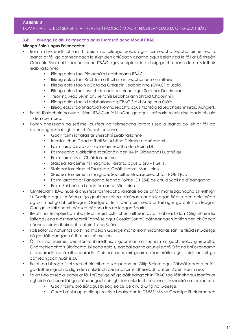#### TIOMANTAIS i dTREO SEIRBHÍSÍ A FHEABHSÚ FAOI SCÉIM ACHT NA dTEANGACHA OIFIGIÚLA ITBÁC

#### **3.4: Bileoga Eolais, Foirmeacha agus Tuarascálacha Modúl ITBÁC**

#### **Bileoga Eolais agus Foirmeacha:**

- Roimh dheireadh bhliain 1, beidh na bileoga eolais agus foirmeacha leabharlainne seo a leanas ar fáil go dátheangach laistigh den chlúdach céanna agus beidh siad le fáil ar Láithreán Gréasáin Sheirbhísí Leabharlainne ITBÁC agus scaipfear iad chuig gach ceann de na 6 láthair leabharlainne:
	- Bileog eolais faoi Rialacháin Leabharlann ITBÁC.
	- Bileog eolais faoi Rochtain a fháil ar an Leabharlann ón mBaile.
	- Bileog eolais faoin gCatalóg Gréasáin Leabhlainne (OPAC) a úsáid.
	- Bileog eolais faoi Iasacht idirleabharlainne agus Soláthar Doiciméad.
	- Treoir na Mac Léinn ar Sheirbhísí Leabharlann Shráid Chaoimhín.
	- Bileog eolais faoin Leabharlann ag ITBÁC Sráid Aungier a úsáid.
	- Bileog eolais faoi Shaoráidí Ríomhaireachta agus Priontála sa Leabharlann (Sráid Aungier).
- Beidh Rialacháin na Mac Léinn, ITBÁC ar fáil i nGaeilge agus i mBéarla roimh dheireadh bhliain 1 den scéim seo.
- Roimh dheireadh na scéime, cuirfear na foirmeacha iarratais seo a leanas go léir ar fáil go dátheangach laistigh den chlúdach céanna:
	- Gach foirm iarratais ar Sheirbhísí Leabharlainne
	- Iarratas chun Cead a fháil Scrúduithe Dáimhe a dhéanamh.
	- Foirm Iarratais do chúrsa lánaimseartha don Roinn Dlí.
	- Foirmeacha tuairiscithe socrúcháin don BA in Oideachas Luathóige.
	- Foirm Iarratais ar Chláir Iarchéime.
	- Staidéar Iarcéime trí Thaighde, Iarratas agus Clárú PGR 1.
	- Staidéar Iarcéime trí Thaighde, Gnáthshonraí Mac Léinn
	- Staidéar Iarcéime trí Thaighde, Socruithe Maoirseoireachta PGR 1(C).
	- Foirm Iarratais ar Ranganna Teanga Foirne (DT 554) de chuid Scoil na dTeangacha.
	- Foirm Suirbhé an Léachtóra ar na Mic Léinn
- Cinnteoidh ITBÁC nuair a chuirfear foirmeacha iarratais eolais ar fáil mar leaganacha ar leithligh i nGaeilge agus i mBéarla, go gcuirfear ráiteas oiriúnach ar an leagan Béarla den doiciméad ag cur in iúl go bhfuil leagan Gaeilge ar leith den doiciméad ar fáil agus go bhfuil an leagan Gaeilge le fáil chomh héasca céanna leis an leagan Béarla.
- Beidh na teimpléid a mbaintear úsáid astu chun aitheantas a thabhairt don Oifig Bhainistiú Taifead (lena n-áirítear Saoráil Faisnéise agus Cosaint Sonraí) dátheangach laistigh den chlúdach céanna roimh dheireadh bhliain 1 den Scéim.
- Foilseofar sainchuntas poist ina mbeidh Gaeilge mar phríomhriachtanas san Institiúid i nGaeilge nó go dátheangach ó thús na scéime seo.
- Ó thús na scéime, déanfar athbhreithniú i gcomhair aistriúcháin ar gach eolas ginearálta, Gnáthchleachtais Oibríochta, bileoga eolais, léarscáileanna agus eile atá Oifig na bhFoirgneamh á dhearadh nó á athdhearadh. Cuirfear achoimrí gearra, réamhráite agus teidil ar fáil go dátheangach nuair is cuí.
- Beidh na bileoga fíricí socrúcháin oibre a scaipeann an Oifig Sláinte agus Sábháilteachta ar fáil go dátheangach laistigh den chlúdach céanna roimh dheireadh bhliain 2 den scéim seo.
- Tá an t-eolas seo a leanas ar fáil i nGaeilge nó go dátheangach in ITBÁC faoi láthair agus leanfar ar aghaidh á chur ar fáil go dátheangach laistigh den chlúdach céanna i rith shaolré na scéime seo:
	- Gach foirm, bróisiúr agus bileog eolais de chuid Oifig na Gaeilge.
	- Gach bróisiúr agus bileog eolais a bhaineann le DT 587: MA sa Ghaeilge Fheidhmeach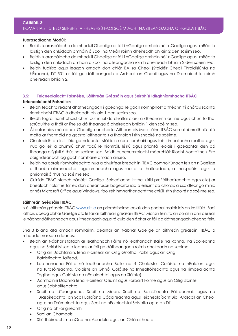#### **CAIBIDIL 3:**  TIOMANTAIS i dTREO SEIRBHÍSÍ A FHEABHSÚ FAOI SCÉIM ACHT NA dTEANGACHA OIFIGIÚLA ITBÁC

#### **Tuarascálacha Modúl:**

- • Beidh tuarascálacha do mhodúil Ghaeilge ar fáil i nGaeilge amháin nó i nGaeilge agus i mBéarla laistigh den chlúdach amháin ó Scoil na Meán roimh dheireadh bhliain 2 den scéim seo.
- • Beidh tuarascálacha do mhodúil Ghaeilge ar fáil i nGaeilge amháin nó i nGaeilge agus i mBéarla laistigh den chlúdach amháin ó Scoil na dTeangacha roimh dheireadh bhliain 2 den scéim seo.
- • Beidh tuairisc agus leagan amach don chlár BA sa Cheol (Staidéir Cheoil Thraidisiúnta na hÉireann), DT 501 ar fáil go dátheangach ó Ardscoil an Cheoil agus na Drámaíochta roimh dheireadh bhliain 2.

#### **3.5: Teicneolaíocht Faisnéise, Láithreán Gréasáin agus Seirbhísí Idirghníomhacha ITBÁC**

#### **Teicneolaíocht Faisnéise:**

- Beidh teachtaireacht dhátheangach i gceangal le gach ríomhphost a théann trí chórais scanta ríomhphoist ITBÁC ó dheireadh bhliain 1 den scéim seo.
- Beidh fógraí ríomhphoist chun cur in iúl do dhaltaí clárú a dhéanamh ar líne agus chun torthaí scrúduithe a fháil ar líne sa dá theanga ó dheireadh bhliain 1 den scéim seo.
- • Áireofar níos mó ábhair Ghaeilge ar chárta Aitheantais Mac Léinn ITBÁC san athbhreithniú atá molta ar fhormáid na gcártaí aitheantais a tharlóidh i rith shaolré na scéime.
- • Cinnteoidh an Institiúid go ndéanfar stáisiúin oibre ríomhairí agus feistí imeallacha reatha agus nua go léir a chumrú chun tacú le hiontráil, léiriú agus priontáil eolais i gceachtar den dá theanga oifigiúil ó thús na scéime seo. Beidh bunchumraíocht méarchláir Ríocht Aontaithe / Éire caighdeánach ag gach ríomhaire amach anseo.
- • Beidh na córais ríomhaireachta nua a chuirfear isteach in ITBÁC comhoiriúnach leis an nGaeilge ó thaobh ainmneacha, logainmneacha agus seoltaí a thaifeadadh, a thaispeáint agus a phriontáil ó thús na scéime seo.
- • Cuirfidh ITBÁC isteach pácáistí Gaeilge (Seiceálacha litrithe, uirlisí profléitheoireachta agus eile) ar bhealach rialaithe tar éis don dhéantúsóir bogearraí iad a eisiúint do chórais a úsáidtear go minic ar nós Microsoft Office agus Windows, faoi réir inmharthanacht theicniúil i rith shaolré na scéime seo.

#### **Láithreán Gréasáin ITBÁC:**

Is é láithreán gréasáin ITBÁC www.dit.ie an príomhfhoinse eolais don phobal maidir leis an Institiúid. Faoi láthair, is beag ábhar Gaeilge atá le fáil ar láithreán gréasáin ITBÁC. Mar sin féin, tá an córas in ann déileáil le hábhar dátheangach agus iltheangach agus tá cuid den ábhar ar fáil go dátheangach cheana féin.

Sna 3 bliana atá amach romhainn, déanfar an t-ábhar Gaeilge ar láithreán gréasáin ITBÁC a mhéadú mar seo a leanas:

- Beidh an t-ábhar statach ar leathanach Fáilte nó leathanach Baile na Ranna, na Scoileanna agus na Seirbhísí seo a leanas ar fáil go dátheangach roimh dheireadh na scéime:
	- • Oifig an Uachtaráin, lena n-áirítear an Oifig Gnóthaí Poiblí agus an Oifig Bainistíochta Taifead.
	- • Leathanacha Fáilte nó leathanacha Baile na 4 Choláiste (Coláiste na nEalaíon agus na Turasóireachta, Coláiste an Ghnó, Coláiste na Innealtóireachta agus na Timpeallachta Tógtha agus Coláiste na nEolaíochtaí agus na Sláinte).
	- • Acmhainní Daonna lena n-áirítear Oiliúint agus Forbairt Foirne agus an Oifig Sláinte agus Sábháilteachta.
	- • Scoil na dTeangacha, Scoil na Meán, Scoil na Bainistíochta Fáilteachais agus na Turasóireachta, an Scoil Ealaíona Cócaireachta agus Teicneolaíocht Bia, Ardscoil an Cheoil agus na Drámaíochta agus Scoil na nEolaíochtaí Sóisialta agus an Dlí.
	- • Oifig na bhFoirgneamh
	- Saol an Champais
	- • Stiúrthóireacht na nGnóthaí Acadúla agus an Chláraitheora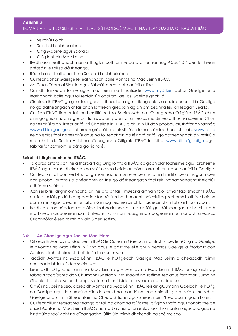#### TIOMANTAIS i dTREO SEIRBHÍSÍ A FHEABHSÚ FAOI SCÉIM ACHT NA dTEANGACHA OIFIGIÚLA ITBÁC

- • Seirbhísí Eolais
- • Seirbhísí Leabharlainne
- • Oifig Maoine agus Saoráidí
- • Oifig Iontrála Mac Léinn
- Beidh aon leathanach nua a thugtar cothrom le dáta ar an rannóg About DIT den láithreán gréasáin le fáil sa dá theanga.
- Réamhrá ar leathanach na Seirbhísí Leabharlainne.
- • Cuirfear ábhar Gaeilge le leathanach baile Aontas na Mac Léinn ITBÁC.
- • An Gluais Téarmaí Sláinte agus Sábháilteachta atá ar fáil ar líne.
- • Cuirfidh tairseach foirne agus mac léinn na hInstitiúide, www.myDIT.ie, ábhar Gaeilge ar a leathanach baile agus foilseoidh sí 'Focal an Lae' as Gaeilge gach lá.
- Cinnteoidh ITBÁC go gcuirfear gach foilseachán agus bileog eolais a chuirfear ar fáil i nGaeilge nó go dátheangach ar fáil ar an láithreán gréasáin ag an am céanna leis an leagan Béarla.
- • Cuirfidh ITBÁC tiomantais na hInstitiúide faoi Scéim Acht na dTeangacha Oifigiúla ITBÁC chun cinn go gníomhach agus cuirfidh siad an pobal ar an eolas maidir leo ó thús na scéime. Chun na seirbhísí a chuirtear ar fáil trí Ghaeilge in ITBÁC a chur in iúl don phobal, cruthófar an rannóg www.dit.ie/gaeilge ar láithreán gréasáin na hInstitiúide le nasc ón leathanach baile www.dit.ie Beidh eolas faoi na seirbhísí agus na foilseacháin go léir atá ar fáil go dátheangach ón Institiúid mar chuid de Scéim Acht na dTeangacha Oifigiúla ITBÁC le fáil ar www.dit.ie/gaeilge agus tabharfar cothrom le dáta go rialta é.

#### **Seirbhísí Idirghníomhacha ITBÁC:**

- • Tá córas iarratais ar líne á fhorbairt ag Oifig Iontrála ITBÁC do gach clár fochéime agus iarchéime ITBÁC agus roimh dheireadh na scéime seo beidh an córas iarratais ar líne seo ar fáil i nGaeilge.
- • Cuirfear ar fáil aon seirbhísí idirghníomhacha nua eile de chuid na hInstitiúide a thugann deis don phobal iarratais a dhéanamh ar líne go dátheangach faoi réir inmharthanacht theicniúil ó thús na scéime.
- Aon seirbhísí idirghníomhacha ar líne atá ar fáil i mBéarla amháin faoi láthair faoi smacht ITBÁC, cuirfear ar fáil go dátheangach iad faoi réir inmharthanacht theicniúil agus chomh luath is a bhíonn acmhainní agus foireann ar fáil ón Rannóg Teicneolaíochta Faisnéise chun tabhairt faoin obair.
- Beidh an comhéadan catalóige leabharlainne ar líne ar fáil go dátheangach chomh luath is a bheidh crua-earraí nua i bhfeidhm chun an t-uasghrádú bogearraí riachtanach a éascú. Críochnófar é seo roimh bhliain 3 den scéim.

#### **3.6: An Ghaeilge agus Saol na Mac léinn:**

- • Oibreoidh Aontas na Mac Léinn ITBÁC le Cumann Gaelach na hInstitiúide, le hOifig na Gaeilge, le hAontas na Mac Léinn in Éirinn agus le páirtithe eile chun beartas Gaeilge a fhorbairt don Aontas roimh dheireadh bhliain 1 den scéim seo.
- Tacóidh Aontas na Mac Léinn ITBÁC le hOifigeach Gaeilge Mac Léinn a cheapadh roimh dheireadh bhliain 2 den scéim seo.
- Leanfaidh Oifig Chumann na Mac Léinn agus Aontas na Mac Léinn, ITBÁC ar aghaidh ag tabhairt tacaíochta don Chumann Gaelach i rith shaolré na scéime seo agus forbrófar Cumainn Ghaelacha bhreise ar champais eile na hInstitiúide i rith shaolré na scéime seo.
- • Ó thús na scéime seo, oibreoidh Aontas na Mac Léinn ITBÁC leis an gCumann Gaelach, le hOifig na Gaeilge agus le cumainn eile de chuid na mac léinn lena chinntiú go mbeidh imeachtaí Gaeilge ar bun i rith Sheachtain na Chéad Bhliana agus Sheachtain Phléarácaim gach bliain.
- • Cuirfear oiliúnt feasachta teanga ar fáil do chomhaltaí foirne, oifigigh thofa agus tionólaithe de chuid Aontas na Mac Léinn ITBÁC chun iad a chur ar an eolas faoi thiomantais agus dualgais na hInstitiúide faoi Acht na dTeangacha Oifigiúla roimh dheireadh na scéime seo.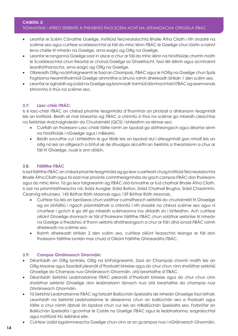### TIOMANTAIS i dTREO SEIRBHÍSÍ A FHEABHSÚ FAOI SCÉIM ACHT NA dTEANGACHA OIFIGIÚLA ITBÁC

- • Leanfar le Scéim Cónaithe Gaeilge, Institiúid Teicneolaíochta Bhaile Átha Cliath i rith shaolré na scéime seo agus cuirfear scoláireachtaí ar fáil do mhic léinn ITBÁC le Gaeilge chun lóistín a roinnt lena chéile trí mheán na Gaeilge, arna eagrú ag Oifig na Gaeilge.
- • Leanfar le ranganna Gaeilge saor in aisce a chur ar fáil do mhic léinn na hInstitiúide chomh maith le Scoláireachtaí chun freastal ar chúrsaí Gaeilge sa Ghaeltacht, faoi réir éilimh agus acmhainní leordhóthanacha, arna eagrú ag Oifig na Gaeilge.
- • Oibreoidh Oifig na bhFoirgneamh le Saol an Champais, ITBÁC agus le hOifig na Gaeilge chun Spás Foghlama Neamhfhoirmiúil Gaeilge ainmnithe a bhunú roimh dheireadh bhliain 1 den scéim seo.
- • Leanfar ar aghaidh ag úsáid na Gaeilge ag bronnadh foirmiúil dámhachtainí ITBÁC ag searmanais bhronnta ó thús na scéime seo.

#### **3.7: Lasc-chlár ITBÁC:**

Is é lasc-chlár ITBÁC an chéad phointe teagmhála d'fhormhór an phobail a dhéanann teagmháil leis an Institiúid. Beidh sé mar bheartas ag ITBÁC a chinntiú ó thús na scéime go mbeidh cleachtas na Seirbhíse Ardchaighdeáin do Chustaiméirí (QCS) i bhfeidhm sa réimse seo:

- • Cuirfidh an fhoireann Lasc-chláir fáilte roimh an bpobal go dátheangach agus déarfar ainm na hInstitiúide i nGaeilge agus i mBéarla.
- • Beidh socruithe cuí i bhfeidhm le gur féidir leis an bpobal dul i dteagmháil gan mhoill leis an oifig nó leis an oifigeach a bhfuil sé de dhualgas air/uirthi an tseirbhís a theastaíonn a chur ar fáil trí Ghaeilge, nuair is ann dóibh.

#### **3.8: Fáiltithe ITBÁC**

Is iad fáiltithe ITBÁC an chéad phointe teagmhála ag go leor cuairteoirí chuig Institiúid Teicneolaíochta Bhaile Átha Cliath agus tá siad mar phointe comhtheagmhála do gach campas ITBÁC don fhoireann agus do mhic léinn. Tá go leor foirgneamh ag ITBÁC atá lonnaithe ar fud chathair Bhaile Átha Cliath. Is iad na príomhláithreacha ná: Sráid Aungier, Sráid Bolton, Sráid Chathail Brugha, Sráid Chaoimhín, Cearnóg Mhuinseo, 143 Bóthar Ráth Maonais agus 159 Bóthar Ráth Maonais.

- • Cuirfear tús leis an bpróiseas chun soláthar cuimsitheach seirbhísí do chustaiméirí trí Ghaeilge ag an bhfáiltiú i ngach príomhláthair a chinntiú i rith shaolré na chéad scéime seo agus ní chuirfear i gcrích é go dtí go mbeidh scéimeanna ina dhiaidh sin i bhfeidhm. Ach cuirfear oiliúint Ghaeilge shonrach ar fáil d'fhoireann fáiltithe ITBÁC chun soláthar seirbhíse trí mheán na Gaeilge a fheabhsú d'fhonn seirbhís dhátheangach a chur ar fáil i dhá ionad ITBÁC roimh dheireadh na scéime seo.
- Roimh dheireadh bhliain 2 den scéim seo, cuirfear oiliúnt feasachta teanga ar fáil don fhoireann fáiltithe iomlán mar chuid d'Oiliúint Fáiltithe Ghinearálta ITBÁC.

#### **3.9: Campas Ghráinseach Ghormáin:**

- • Déanfaidh an Oifig Iontrála, Oifig na bhFoirgneamh, Saol an Champais chomh maith leis an Oifig Maoine agus Saoráidí pleanáil d'fhorbairt bhreise agus do chur chun cinn sholáthar seirbhísí Ghaeilge do Champas nua Ghráinseach Ghormáin, atá beartaithe d'ITBÁC.
- Déanfaidh Seirbhísí Leabharlainne ITBÁC pleanáil d'fhorbairt bhreise agus do chur chun cinn sholáthar seirbhísí Ghaeilge don leabharlann lárnach nua atá beartaithe do champas nua Ghráinseach Ghormáin.
- Tá Seirbhísí Leabharlainne ITBÁC ag forbairt Bailiúchán Speisialta de Mheáin Ghaeilge faoi láthair. Leanfaidh na Seirbhísí Leabharlainne le deiseanna chun an bailiúchán seo a fhorbairt agus fáilte a chur roimh ábhair ón bpobal chun cur leis an mBailiúchán Speisialta seo. Forbrófar an Bailiúchán Speisialta i gcomhar le Coiste na Gaeilge ITBÁC agus le leabharlanna, eagraíochtaí agus Institiúidí tríú leibhéal eile.
- Cuirfear úsáid logainmneacha Gaeilge chun cinn ar an gcampas nua i nGráinseach Ghormáin.